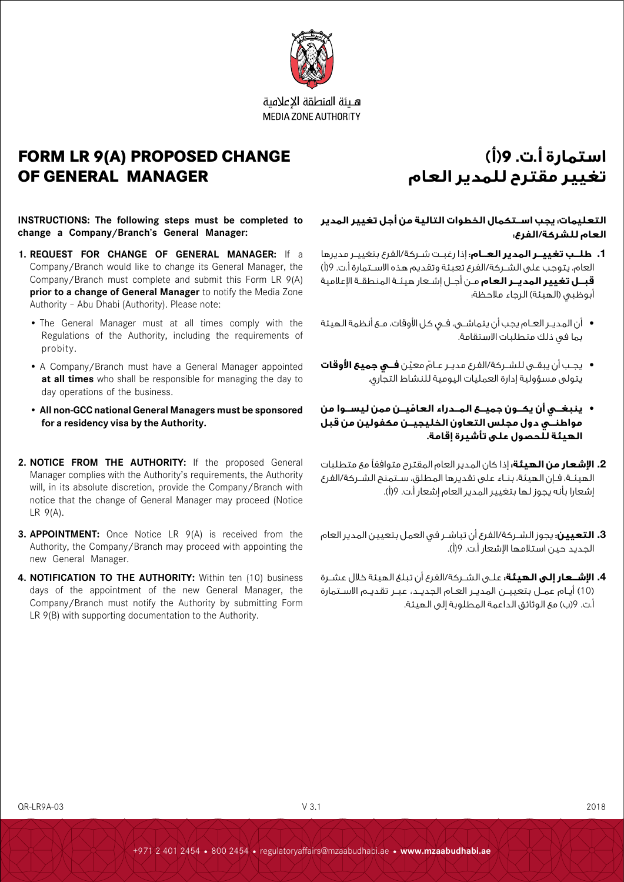

هلئة المنطقة الاعلامية **MEDIA ZONE AUTHORITY** 

## **FORM LR 9(A) PROPOSED CHANGE OF GENERAL MANAGER**

# **استمارة أ.ت. 9)أ( تغيير مقترح للمدير العام**

**INSTRUCTIONS: The following steps must be completed to change a Company/Branch's General Manager:** 

- **1. REQUEST FOR CHANGE OF GENERAL MANAGER:** If a Company/Branch would like to change its General Manager, the Company/Branch must complete and submit this Form LR 9(A) **prior to a change of General Manager** to notify the Media Zone Authority – Abu Dhabi (Authority). Please note:
	- The General Manager must at all times comply with the Regulations of the Authority, including the requirements of probity.
	- A Company/Branch must have a General Manager appointed **at all times** who shall be responsible for managing the day to day operations of the business.
	- **• All non-GCC national General Managers must be sponsored for a residency visa by the Authority.**
- **2. NOTICE FROM THE AUTHORITY:** If the proposed General Manager complies with the Authority's requirements, the Authority will, in its absolute discretion, provide the Company/Branch with notice that the change of General Manager may proceed (Notice LR 9(A).
- **3. APPOINTMENT:** Once Notice LR 9(A) is received from the Authority, the Company/Branch may proceed with appointing the new General Manager.
- **4. NOTIFICATION TO THE AUTHORITY:** Within ten (10) business days of the appointment of the new General Manager, the Company/Branch must notify the Authority by submitting Form LR 9(B) with supporting documentation to the Authority.

### **التعليمات: يجب اســتكمال الخطوات التالية من أجل تغيير المدير العام للشركة/الفرع:**

- **.1 طلــب تغييــر المدير العــام:** إذا رغبــت شــركة/الفرع بتغييــر مديرها العام، يتوجب على الشـركة/الفرع تعبئة وتقديم هذه الاسـتمارة أ.ت. 9(أ) **قبــل تغيير المديــر العام** مــن أجــل إشــعار هيئــة المنطقــة اإلعالمية أبوظبي (الهيئة) الرجاء ملاحظة:
- أن المديــر العــام يجب أن يتماشــى، فــي كل األوقات، مــع أنظمة الهيئة بما في ذلك متطلبات االستقامة.
- ّ يجــب أن يبقــى للشــركة/الفرع مديــر عــام ّ معين **فــي جميع األوقات** يتولى مسؤولية إدارة العمليات اليومية للنشاط التجاري.
- **ّ ينبغــي أن يكــون جميــع المــدراء العاميــن ممن ليســوا من مواطنــي دول مجلس التعاون الخليجيــن مكفولين من قبل الهيئة للحصول على تأشيرة إقامة.**
- **.2 اإلشعار من الهيئة:** إذا كان المدير العام المقترح متوافقًا مع متطلبات الهيئــة، فــإن الهيئة، بنــاء على تقديرها المطلق، ســتمنح الشــركة/الفرع إشعارا بأنه يجوز لها بتغيير المدير العام إشعار أ.ت. 9)أ(.
- **.3 التعيين:** يجوز الشــركة/الفرع أن تباشــر في العمل بتعيين المدير العام الجديد حين استالمها اإلشعار أ.ت. 9)أ(.
- **.4 اإلشــعار إلى الهيئة:** علــى الشــركة/الفرع أن تبلغ الهيئة خالل عشــرة )10( أيــام عمــل بتعييــن المديــر العــام الجديــد، عبــر تقديــم االســتمارة أ.ت. 9)ب( مع الوثائق الداعمة المطلوبة إلى الهيئة.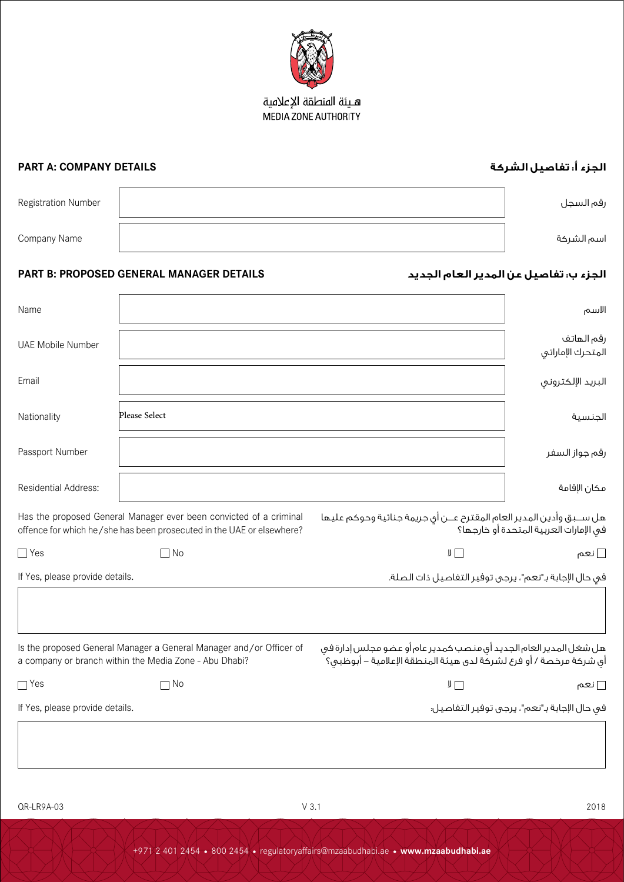

### هـيئة المنطقة الإعلامية MEDIA ZONE AUTHORITY

| <b>PART A: COMPANY DETAILS</b>                                                                                                              |               |                                                                                                                                        | الجزء أ. تفاصيل الشركة                       |
|---------------------------------------------------------------------------------------------------------------------------------------------|---------------|----------------------------------------------------------------------------------------------------------------------------------------|----------------------------------------------|
| Registration Number                                                                                                                         |               |                                                                                                                                        | رقم السجل                                    |
| Company Name                                                                                                                                |               |                                                                                                                                        | اسم الشركة                                   |
| PART B: PROPOSED GENERAL MANAGER DETAILS<br>الجزء ب: تفاصيل عن المدير العام الجديد                                                          |               |                                                                                                                                        |                                              |
| Name                                                                                                                                        |               |                                                                                                                                        | الاسم                                        |
| <b>UAE Mobile Number</b>                                                                                                                    |               |                                                                                                                                        | رقم الهاتف<br>المتحرك الإماراتي              |
| Email                                                                                                                                       |               |                                                                                                                                        | البريد الإلكتروني                            |
| Nationality                                                                                                                                 | Please Select |                                                                                                                                        | الجنسية                                      |
| Passport Number                                                                                                                             |               |                                                                                                                                        | رقم جواز السفر                               |
| Residential Address:                                                                                                                        |               |                                                                                                                                        | مكان الإقامة                                 |
| Has the proposed General Manager ever been convicted of a criminal<br>offence for which he/she has been prosecuted in the UAE or elsewhere? |               | هل ســبق وأدين المدير العام المقترح عــن أي جريمة جنائية وحوكم عليها<br>فى الإمارات العربية المتحدة أو خارجها؟                         |                                              |
| $\Box$ Yes                                                                                                                                  | $\Box$ No     | $J \Box$                                                                                                                               | ∏ نعم                                        |
| If Yes, please provide details.                                                                                                             |               | في حال الإجابة بـ"نعم"، يرجى توفير التفاصيل ذات الصلة.                                                                                 |                                              |
| Is the proposed General Manager a General Manager and/or Officer of<br>a company or branch within the Media Zone - Abu Dhabi?               |               | هل شغل المدير العام الجديد أي منصب كمدير عام أو عضو مجلس إدارة في<br>أي شركة مرخصة / أو فرع لشركة لدى هيئة المنطقة الإعلامية – أبوظبي؟ |                                              |
| $\Box$ Yes                                                                                                                                  | $\Box$ No     | $\mathbb{F} \square$                                                                                                                   | ∏ نعم                                        |
| If Yes, please provide details.                                                                                                             |               |                                                                                                                                        | في حال الإجابة بـ"نعم"، يرجى توفير التفاصيل؛ |